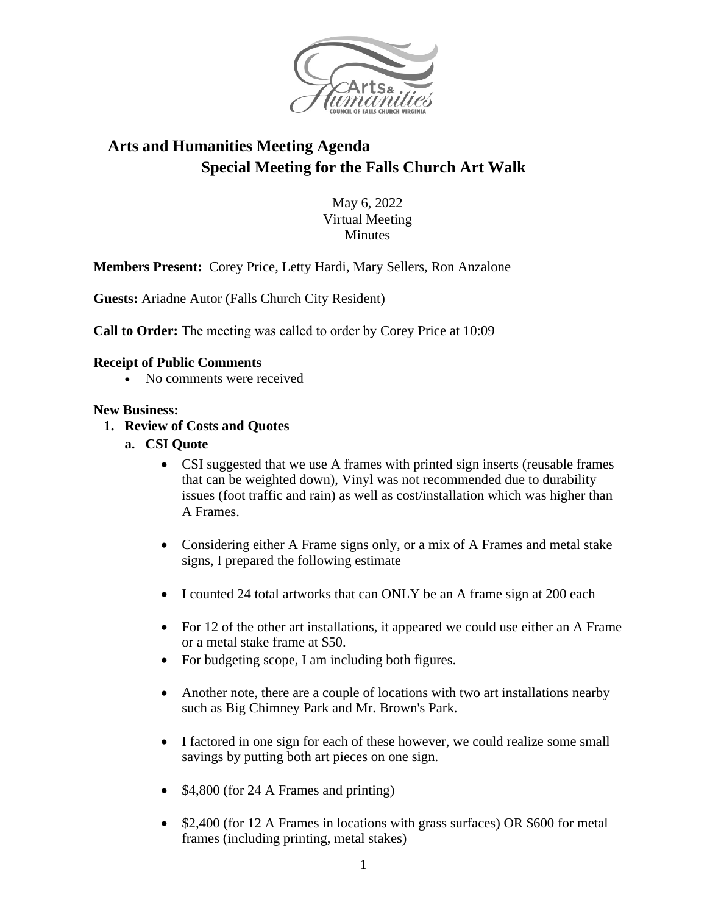

# **Arts and Humanities Meeting Agenda Special Meeting for the Falls Church Art Walk**

May 6, 2022 Virtual Meeting **Minutes** 

**Members Present:** Corey Price, Letty Hardi, Mary Sellers, Ron Anzalone

**Guests:** Ariadne Autor (Falls Church City Resident)

**Call to Order:** The meeting was called to order by Corey Price at 10:09

#### **Receipt of Public Comments**

• No comments were received

#### **New Business:**

- **1. Review of Costs and Quotes**
	- **a. CSI Quote**
		- CSI suggested that we use A frames with printed sign inserts (reusable frames that can be weighted down), Vinyl was not recommended due to durability issues (foot traffic and rain) as well as cost/installation which was higher than A Frames.
		- Considering either A Frame signs only, or a mix of A Frames and metal stake signs, I prepared the following estimate
		- I counted 24 total artworks that can ONLY be an A frame sign at 200 each
		- For 12 of the other art installations, it appeared we could use either an A Frame or a metal stake frame at \$50.
		- For budgeting scope, I am including both figures.
		- Another note, there are a couple of locations with two art installations nearby such as Big Chimney Park and Mr. Brown's Park.
		- I factored in one sign for each of these however, we could realize some small savings by putting both art pieces on one sign.
		- \$4,800 (for 24 A Frames and printing)
		- \$2,400 (for 12 A Frames in locations with grass surfaces) OR \$600 for metal frames (including printing, metal stakes)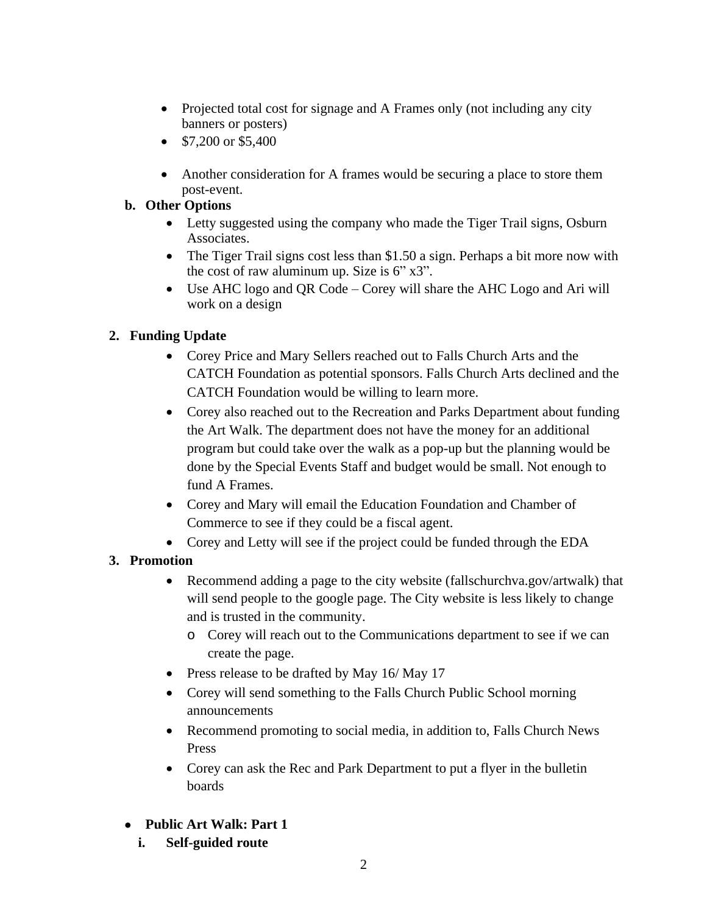- Projected total cost for signage and A Frames only (not including any city banners or posters)
- $\bullet$  \$7,200 or \$5,400
- Another consideration for A frames would be securing a place to store them post-event.

### **b. Other Options**

- Letty suggested using the company who made the Tiger Trail signs, Osburn Associates.
- The Tiger Trail signs cost less than \$1.50 a sign. Perhaps a bit more now with the cost of raw aluminum up. Size is 6" x3".
- Use AHC logo and QR Code Corey will share the AHC Logo and Ari will work on a design

## **2. Funding Update**

- Corey Price and Mary Sellers reached out to Falls Church Arts and the CATCH Foundation as potential sponsors. Falls Church Arts declined and the CATCH Foundation would be willing to learn more.
- Corey also reached out to the Recreation and Parks Department about funding the Art Walk. The department does not have the money for an additional program but could take over the walk as a pop-up but the planning would be done by the Special Events Staff and budget would be small. Not enough to fund A Frames.
- Corey and Mary will email the Education Foundation and Chamber of Commerce to see if they could be a fiscal agent.
- Corey and Letty will see if the project could be funded through the EDA

### **3. Promotion**

- Recommend adding a page to the city website (fallschurchva.gov/artwalk) that will send people to the google page. The City website is less likely to change and is trusted in the community.
	- o Corey will reach out to the Communications department to see if we can create the page.
- Press release to be drafted by May 16/ May 17
- Corey will send something to the Falls Church Public School morning announcements
- Recommend promoting to social media, in addition to, Falls Church News Press
- Corey can ask the Rec and Park Department to put a flyer in the bulletin boards
- **Public Art Walk: Part 1**
	- **i. Self-guided route**